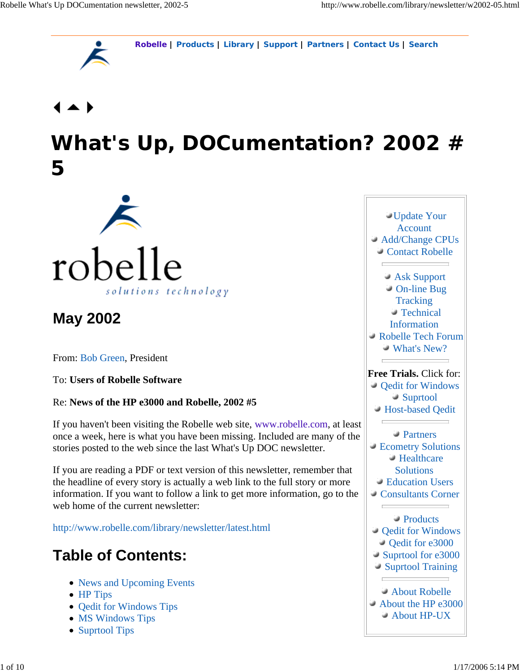**Robelle | Products | Library | Support | Partners | Contact Us | Search**



# **What's Up, DOCumentation? 2002 # 5**



## **May 2002**

From: Bob Green, President

To: **Users of Robelle Software**

Re: **News of the HP e3000 and Robelle, 2002 #5**

If you haven't been visiting the Robelle web site, www.robelle.com, at least once a week, here is what you have been missing. Included are many of the stories posted to the web since the last What's Up DOC newsletter.

If you are reading a PDF or text version of this newsletter, remember that the headline of every story is actually a web link to the full story or more information. If you want to follow a link to get more information, go to the web home of the current newsletter:

http://www.robelle.com/library/newsletter/latest.html

## **Table of Contents:**

- News and Upcoming Events
- HP Tips
- Qedit for Windows Tips
- MS Windows Tips
- Suprtool Tips

Update Your Account Add/Change CPUs Contact Robelle Ask Support On-line Bug **Tracking**  Technical Information Robelle Tech Forum What's New? **Free Trials.** Click for: Qedit for Windows Suprtool Host-based Qedit Partners Ecometry Solutions Healthcare **Solutions**  Education Users Consultants Corner <u> The Communication of the Communication of</u> Products Qedit for Windows Qedit for e3000 Suprtool for e3000 Suprtool Training About Robelle About the HP e3000 About HP-UX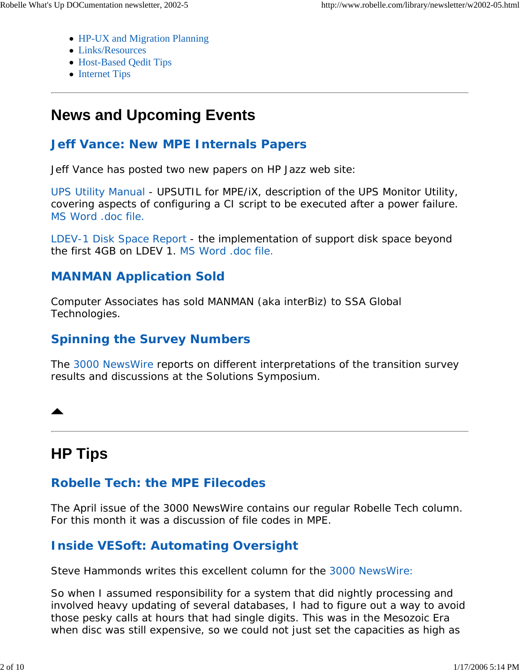- HP-UX and Migration Planning
- Links/Resources
- Host-Based Qedit Tips
- Internet Tips

## **News and Upcoming Events**

#### **Jeff Vance: New MPE Internals Papers**

Jeff Vance has posted two new papers on HP Jazz web site:

UPS Utility Manual - UPSUTIL for MPE/iX, description of the UPS Monitor Utility, covering aspects of configuring a CI script to be executed after a power failure. MS Word .doc file.

LDEV-1 Disk Space Report - the implementation of support disk space beyond the first 4GB on LDEV 1. MS Word .doc file.

#### **MANMAN Application Sold**

Computer Associates has sold MANMAN (aka interBiz) to SSA Global Technologies.

#### **Spinning the Survey Numbers**

The 3000 NewsWire reports on different interpretations of the transition survey results and discussions at the Solutions Symposium.

## **HP Tips**

### **Robelle Tech: the MPE Filecodes**

The April issue of the *3000 NewsWire* contains our regular Robelle Tech column. For this month it was a discussion of file codes in MPE.

## **Inside VESoft: Automating Oversight**

Steve Hammonds writes this excellent column for the 3000 NewsWire:

*So when I assumed responsibility for a system that did nightly processing and involved heavy updating of several databases, I had to figure out a way to avoid those pesky calls at hours that had single digits. This was in the Mesozoic Era when disc was still expensive, so we could not just set the capacities as high as*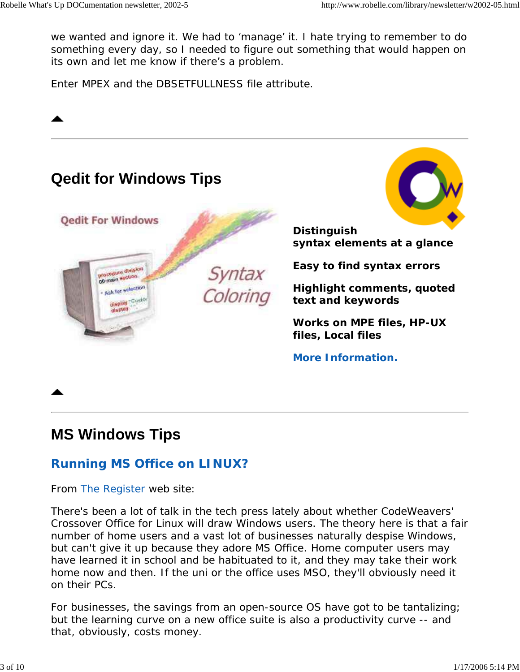*we wanted and ignore it. We had to 'manage' it. I hate trying to remember to do something every day, so I needed to figure out something that would happen on its own and let me know if there's a problem.*

*Enter MPEX and the DBSETFULLNESS file attribute.*



## **MS Windows Tips**

#### **Running MS Office on LINUX?**

From The Register web site:

*There's been a lot of talk in the tech press lately about whether CodeWeavers' Crossover Office for Linux will draw Windows users. The theory here is that a fair number of home users and a vast lot of businesses naturally despise Windows, but can't give it up because they adore MS Office. Home computer users may have learned it in school and be habituated to it, and they may take their work home now and then. If the uni or the office uses MSO, they'll obviously need it on their PCs.*

*For businesses, the savings from an open-source OS have got to be tantalizing; but the learning curve on a new office suite is also a productivity curve -- and that, obviously, costs money.*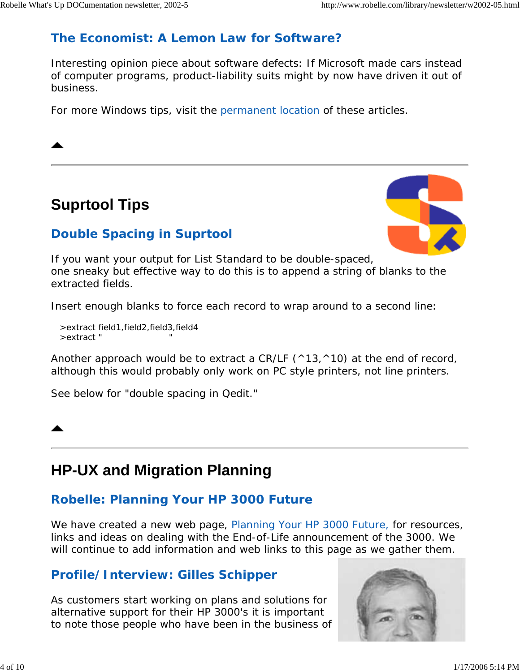### *The Economist:* **A Lemon Law for Software?**

Interesting opinion piece about software defects: *If Microsoft made cars instead of computer programs, product-liability suits might by now have driven it out of business.*

For more Windows tips, visit the permanent location of these articles.

## **Suprtool Tips**



### **Double Spacing in Suprtool**

If you want your output for List Standard to be double-spaced, one sneaky but effective way to do this is to append a string of blanks to the extracted fields.

Insert enough blanks to force each record to wrap around to a second line:

 >extract field1,field2,field3,field4 >extract " "

Another approach would be to extract a CR/LF  $(^{\wedge}13,^{\wedge}10)$  at the end of record, although this would probably only work on PC style printers, not line printers.

See below for "double spacing in Qedit."

## **HP-UX and Migration Planning**

### **Robelle: Planning Your HP 3000 Future**

We have created a new web page, Planning Your HP 3000 Future, for resources, links and ideas on dealing with the End-of-Life announcement of the 3000. We will continue to add information and web links to this page as we gather them.

### **Profile/Interview: Gilles Schipper**

As customers start working on plans and solutions for alternative support for their HP 3000's it is important to note those people who have been in the business of

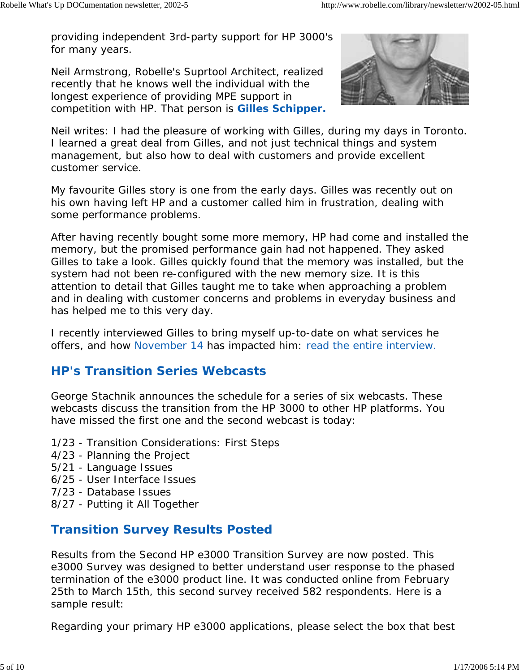providing independent 3rd-party support for HP 3000's for many years.

Neil Armstrong, Robelle's Suprtool Architect, realized recently that he knows well the individual with the longest experience of providing MPE support in competition with HP. That person is **Gilles Schipper.**



Neil writes: *I had the pleasure of working with Gilles, during my days in Toronto. I learned a great deal from Gilles, and not just technical things and system management, but also how to deal with customers and provide excellent customer service.*

*My favourite Gilles story is one from the early days. Gilles was recently out on his own having left HP and a customer called him in frustration, dealing with some performance problems.*

*After having recently bought some more memory, HP had come and installed the memory, but the promised performance gain had not happened. They asked Gilles to take a look. Gilles quickly found that the memory was installed, but the system had not been re-configured with the new memory size. It is this attention to detail that Gilles taught me to take when approaching a problem and in dealing with customer concerns and problems in everyday business and has helped me to this very day.*

*I recently interviewed Gilles to bring myself up-to-date on what services he offers, and how November 14 has impacted him: read the entire interview.*

#### **HP's Transition Series Webcasts**

George Stachnik announces the schedule for a series of six webcasts. These webcasts discuss the transition from the HP 3000 to other HP platforms. You have missed the first one and the second webcast is today:

- 1/23 Transition Considerations: First Steps
- 4/23 Planning the Project
- 5/21 Language Issues
- 6/25 User Interface Issues
- 7/23 Database Issues
- 8/27 Putting it All Together

#### **Transition Survey Results Posted**

Results from the Second HP e3000 Transition Survey are now posted. This e3000 Survey was designed to better understand user response to the phased termination of the e3000 product line. It was conducted online from February 25th to March 15th, this second survey received 582 respondents. Here is a sample result:

*Regarding your primary HP e3000 applications, please select the box that best*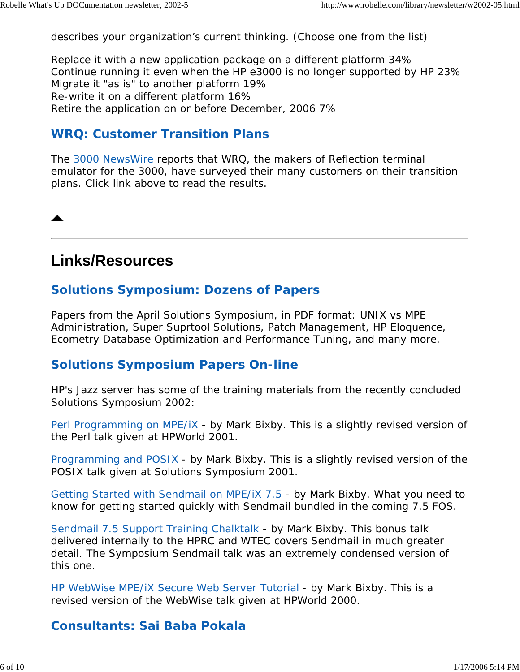*describes your organization's current thinking. (Choose one from the list)*

Replace it with a new application package on a different platform 34% Continue running it even when the HP e3000 is no longer supported by HP 23% Migrate it "as is" to another platform 19% Re-write it on a different platform 16% Retire the application on or before December, 2006 7%

#### **WRQ: Customer Transition Plans**

The 3000 NewsWire reports that WRQ, the makers of Reflection terminal emulator for the 3000, have surveyed their many customers on their transition plans. Click link above to read the results.

### **Links/Resources**

#### **Solutions Symposium: Dozens of Papers**

Papers from the April Solutions Symposium, in PDF format: UNIX vs MPE Administration, Super Suprtool Solutions, Patch Management, HP Eloquence, Ecometry Database Optimization and Performance Tuning, and many more.

#### **Solutions Symposium Papers On-line**

HP's Jazz server has some of the training materials from the recently concluded Solutions Symposium 2002:

Perl Programming on MPE/iX - by Mark Bixby. This is a slightly revised version of the Perl talk given at HPWorld 2001.

Programming and POSIX - by Mark Bixby. This is a slightly revised version of the POSIX talk given at Solutions Symposium 2001.

Getting Started with Sendmail on MPE/iX 7.5 - by Mark Bixby. What you need to know for getting started quickly with Sendmail bundled in the coming 7.5 FOS.

Sendmail 7.5 Support Training Chalktalk - by Mark Bixby. This bonus talk delivered internally to the HPRC and WTEC covers Sendmail in much greater detail. The Symposium Sendmail talk was an extremely condensed version of this one.

HP WebWise MPE/iX Secure Web Server Tutorial - by Mark Bixby. This is a revised version of the WebWise talk given at HPWorld 2000.

#### **Consultants: Sai Baba Pokala**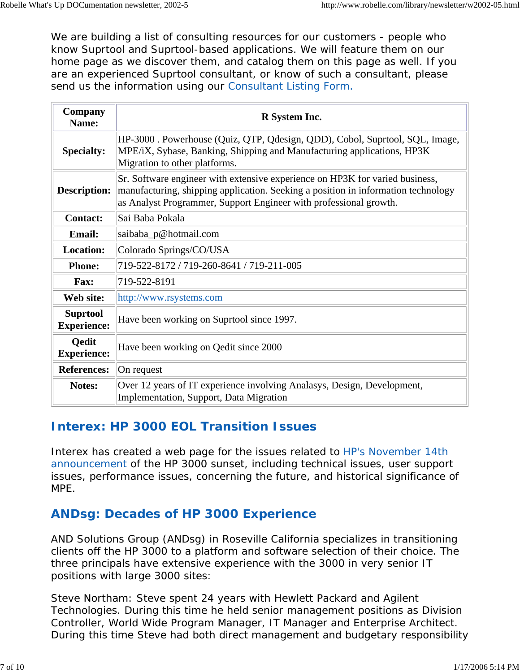We are building a list of consulting resources for our customers - people who know Suprtool and Suprtool-based applications. We will feature them on our home page as we discover them, and catalog them on this page as well. If you are an experienced Suprtool consultant, or know of such a consultant, please send us the information using our Consultant Listing Form.

| Company<br>Name:                      | R System Inc.                                                                                                                                                                                                                          |
|---------------------------------------|----------------------------------------------------------------------------------------------------------------------------------------------------------------------------------------------------------------------------------------|
| <b>Specialty:</b>                     | HP-3000. Powerhouse (Quiz, QTP, Qdesign, QDD), Cobol, Suprtool, SQL, Image,<br>MPE/iX, Sybase, Banking, Shipping and Manufacturing applications, HP3K<br>Migration to other platforms.                                                 |
| <b>Description:</b>                   | Sr. Software engineer with extensive experience on HP3K for varied business,<br>manufacturing, shipping application. Seeking a position in information technology<br>as Analyst Programmer, Support Engineer with professional growth. |
| <b>Contact:</b>                       | Sai Baba Pokala                                                                                                                                                                                                                        |
| <b>Email:</b>                         | saibaba_p@hotmail.com                                                                                                                                                                                                                  |
| <b>Location:</b>                      | Colorado Springs/CO/USA                                                                                                                                                                                                                |
| <b>Phone:</b>                         | 719-522-8172 / 719-260-8641 / 719-211-005                                                                                                                                                                                              |
| <b>Fax:</b>                           | 719-522-8191                                                                                                                                                                                                                           |
| Web site:                             | http://www.rsystems.com                                                                                                                                                                                                                |
| <b>Suprtool</b><br><b>Experience:</b> | Have been working on Suprtool since 1997.                                                                                                                                                                                              |
| <b>Qedit</b><br><b>Experience:</b>    | Have been working on Qedit since 2000                                                                                                                                                                                                  |
| <b>References:</b>                    | On request                                                                                                                                                                                                                             |
| Notes:                                | Over 12 years of IT experience involving Analasys, Design, Development,<br>Implementation, Support, Data Migration                                                                                                                     |

#### **Interex: HP 3000 EOL Transition Issues**

Interex has created a web page for the issues related to HP's November 14th announcement of the HP 3000 sunset, including technical issues, user support issues, performance issues, concerning the future, and historical significance of MPE.

#### **ANDsg: Decades of HP 3000 Experience**

AND Solutions Group (ANDsg) in Roseville California specializes in transitioning clients off the HP 3000 to a platform and software selection of their choice. The three principals have extensive experience with the 3000 in very senior IT positions with large 3000 sites:

Steve Northam: Steve spent 24 years with Hewlett Packard and Agilent Technologies. During this time he held senior management positions as Division Controller, World Wide Program Manager, IT Manager and Enterprise Architect. During this time Steve had both direct management and budgetary responsibility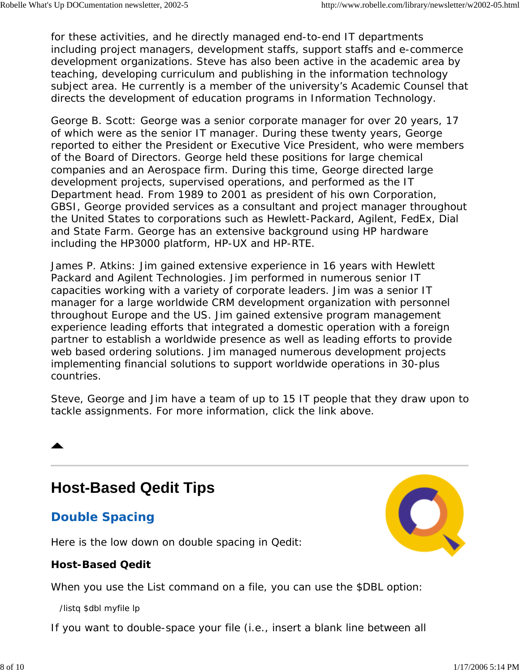for these activities, and he directly managed end-to-end IT departments including project managers, development staffs, support staffs and e-commerce development organizations. Steve has also been active in the academic area by teaching, developing curriculum and publishing in the information technology subject area. He currently is a member of the university's Academic Counsel that directs the development of education programs in Information Technology.

George B. Scott: George was a senior corporate manager for over 20 years, 17 of which were as the senior IT manager. During these twenty years, George reported to either the President or Executive Vice President, who were members of the Board of Directors. George held these positions for large chemical companies and an Aerospace firm. During this time, George directed large development projects, supervised operations, and performed as the IT Department head. From 1989 to 2001 as president of his own Corporation, GBSI, George provided services as a consultant and project manager throughout the United States to corporations such as Hewlett-Packard, Agilent, FedEx, Dial and State Farm. George has an extensive background using HP hardware including the HP3000 platform, HP-UX and HP-RTE.

James P. Atkins: Jim gained extensive experience in 16 years with Hewlett Packard and Agilent Technologies. Jim performed in numerous senior IT capacities working with a variety of corporate leaders. Jim was a senior IT manager for a large worldwide CRM development organization with personnel throughout Europe and the US. Jim gained extensive program management experience leading efforts that integrated a domestic operation with a foreign partner to establish a worldwide presence as well as leading efforts to provide web based ordering solutions. Jim managed numerous development projects implementing financial solutions to support worldwide operations in 30-plus countries.

Steve, George and Jim have a team of up to 15 IT people that they draw upon to tackle assignments. For more information, click the link above.

## **Host-Based Qedit Tips**

### **Double Spacing**

Here is the low down on double spacing in Qedit:

#### **Host-Based Qedit**

When you use the List command on a file, you can use the \$DBL option:

/listq \$dbl myfile lp

If you want to double-space your file (i.e., insert a blank line between all

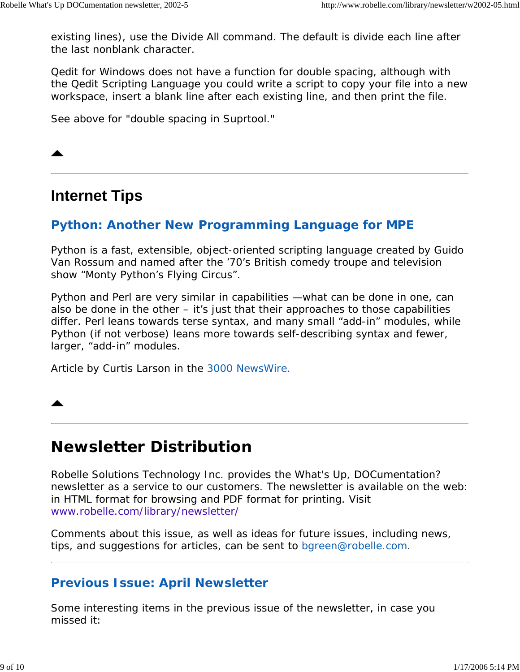existing lines), use the Divide All command. The default is divide each line after the last nonblank character.

Qedit for Windows does not have a function for double spacing, although with the Qedit Scripting Language you could write a script to copy your file into a new workspace, insert a blank line after each existing line, and then print the file.

See above for "double spacing in Suprtool."

### **Internet Tips**

#### **Python: Another New Programming Language for MPE**

*Python is a fast, extensible, object-oriented scripting language created by Guido Van Rossum and named after the '70's British comedy troupe and television show "Monty Python's Flying Circus".*

*Python and Perl are very similar in capabilities —what can be done in one, can also be done in the other – it's just that their approaches to those capabilities differ. Perl leans towards terse syntax, and many small "add-in" modules, while Python (if not verbose) leans more towards self-describing syntax and fewer, larger, "add-in" modules.*

Article by Curtis Larson in the 3000 NewsWire.

## **Newsletter Distribution**

Robelle Solutions Technology Inc. provides the *What's Up, DOCumentation?* newsletter as a service to our customers. The newsletter is available on the web: in HTML format for browsing and PDF format for printing. Visit www.robelle.com/library/newsletter/

Comments about this issue, as well as ideas for future issues, including news, tips, and suggestions for articles, can be sent to bgreen@robelle.com.

#### **Previous Issue: April Newsletter**

Some interesting items in the previous issue of the newsletter, in case you missed it: